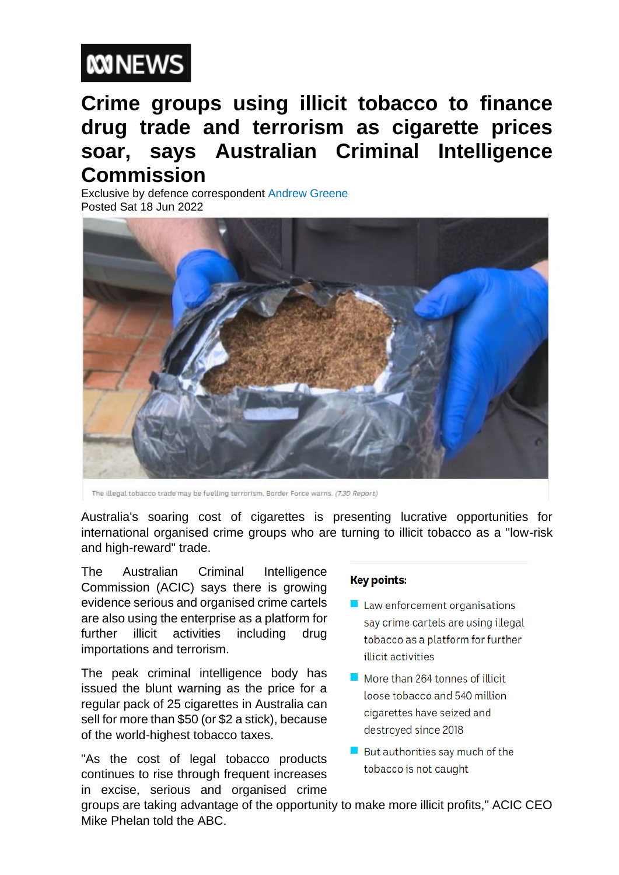

## **Crime groups using illicit tobacco to finance drug trade and terrorism as cigarette prices soar, says Australian Criminal Intelligence Commission**

Exclusive by defence correspondent Andrew Greene Posted Sat 18 Jun 2022



The illegal tobacco trade may be fuelling terrorism, Border Force warns. (7.30 Report)

Australia's soaring cost of cigarettes is presenting lucrative opportunities for international organised crime groups who are turning to illicit tobacco as a "low-risk and high-reward" trade.

The Australian Criminal Intelligence Commission (ACIC) says there is growing evidence serious and organised crime cartels are also using the enterprise as a platform for further illicit activities including drug importations and terrorism.

The peak criminal intelligence body has issued the blunt warning as the price for a regular pack of 25 cigarettes in Australia can sell for more than \$50 (or \$2 a stick), because of the world-highest tobacco taxes.

"As the cost of legal tobacco products continues to rise through frequent increases in excise, serious and organised crime

## **Key points:**

- $\blacksquare$  Law enforcement organisations say crime cartels are using illegal tobacco as a platform for further illicit activities
- More than 264 tonnes of illicit loose tobacco and 540 million cigarettes have seized and destroyed since 2018
- But authorities say much of the tobacco is not caught

groups are taking advantage of the opportunity to make more illicit profits," ACIC CEO Mike Phelan told the ABC.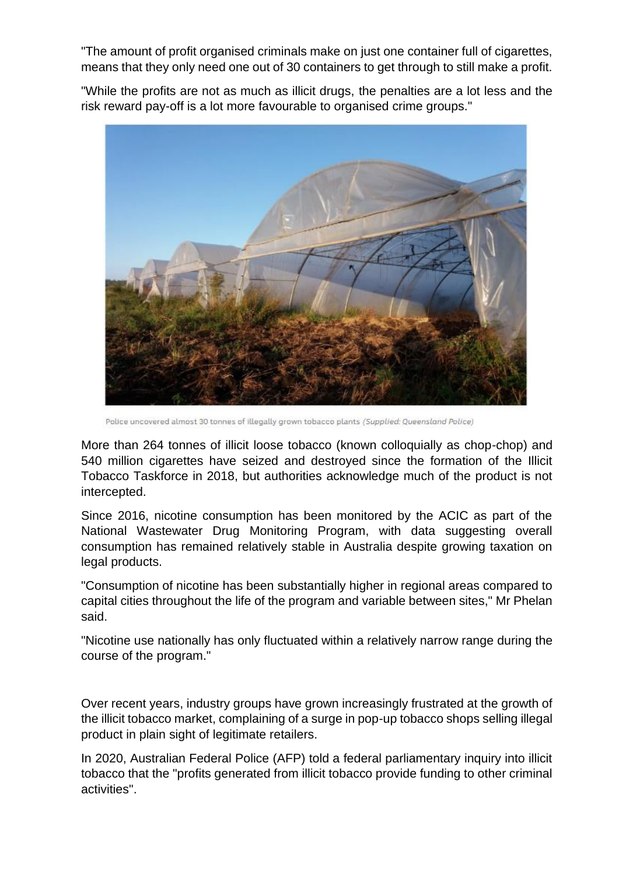"The amount of profit organised criminals make on just one container full of cigarettes, means that they only need one out of 30 containers to get through to still make a profit.

"While the profits are not as much as illicit drugs, the penalties are a lot less and the risk reward pay-off is a lot more favourable to organised crime groups."



Police uncovered almost 30 tonnes of illegally grown tobacco plants (Supplied: Queensland Police)

More than 264 tonnes of illicit loose tobacco (known colloquially as chop-chop) and 540 million cigarettes have seized and destroyed since the formation of the Illicit Tobacco Taskforce in 2018, but authorities acknowledge much of the product is not intercepted.

Since 2016, nicotine consumption has been monitored by the ACIC as part of the National Wastewater Drug Monitoring Program, with data suggesting overall consumption has remained relatively stable in Australia despite growing taxation on legal products.

"Consumption of nicotine has been substantially higher in regional areas compared to capital cities throughout the life of the program and variable between sites," Mr Phelan said.

"Nicotine use nationally has only fluctuated within a relatively narrow range during the course of the program."

Over recent years, industry groups have grown increasingly frustrated at the growth of the illicit tobacco market, complaining of a surge in pop-up tobacco shops selling illegal product in plain sight of legitimate retailers.

In 2020, Australian Federal Police (AFP) told a federal parliamentary inquiry into illicit tobacco that the "profits generated from illicit tobacco provide funding to other criminal activities".